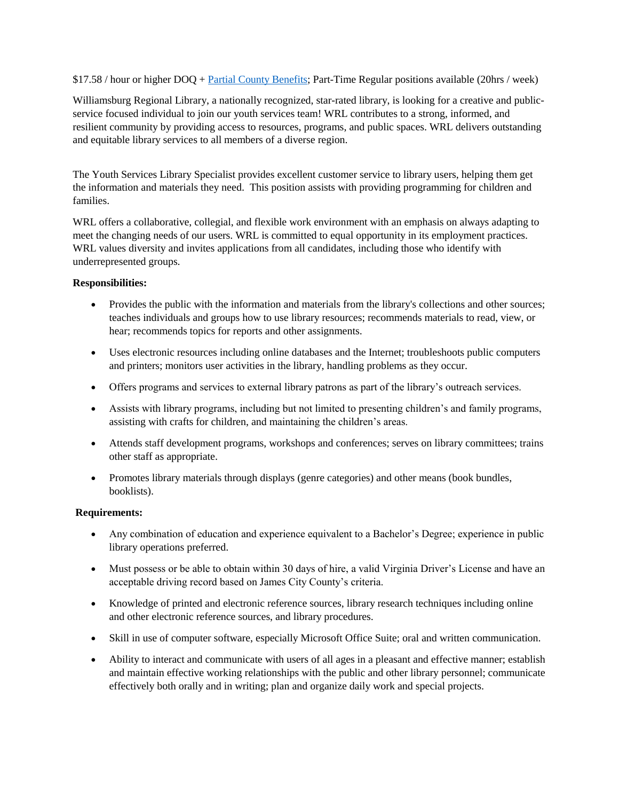\$17.58 / hour or higher DOQ + [Partial County Benefits;](https://jamescitycountyva.gov/DocumentCenter/View/16819/Part-Time-Benefits-Booklet-PDF?bidId=) Part-Time Regular positions available (20hrs / week)

Williamsburg Regional Library, a nationally recognized, star-rated library, is looking for a creative and publicservice focused individual to join our youth services team! WRL contributes to a strong, informed, and resilient community by providing access to resources, programs, and public spaces. WRL delivers outstanding and equitable library services to all members of a diverse region.

The Youth Services Library Specialist provides excellent customer service to library users, helping them get the information and materials they need. This position assists with providing programming for children and families.

WRL offers a collaborative, collegial, and flexible work environment with an emphasis on always adapting to meet the changing needs of our users. WRL is committed to equal opportunity in its employment practices. WRL values diversity and invites applications from all candidates, including those who identify with underrepresented groups.

## **Responsibilities:**

- Provides the public with the information and materials from the library's collections and other sources; teaches individuals and groups how to use library resources; recommends materials to read, view, or hear; recommends topics for reports and other assignments.
- Uses electronic resources including online databases and the Internet; troubleshoots public computers and printers; monitors user activities in the library, handling problems as they occur.
- Offers programs and services to external library patrons as part of the library's outreach services.
- Assists with library programs, including but not limited to presenting children's and family programs, assisting with crafts for children, and maintaining the children's areas.
- Attends staff development programs, workshops and conferences; serves on library committees; trains other staff as appropriate.
- Promotes library materials through displays (genre categories) and other means (book bundles, booklists).

## **Requirements:**

- Any combination of education and experience equivalent to a Bachelor's Degree; experience in public library operations preferred.
- Must possess or be able to obtain within 30 days of hire, a valid Virginia Driver's License and have an acceptable driving record based on James City County's criteria.
- Knowledge of printed and electronic reference sources, library research techniques including online and other electronic reference sources, and library procedures.
- Skill in use of computer software, especially Microsoft Office Suite; oral and written communication.
- Ability to interact and communicate with users of all ages in a pleasant and effective manner; establish and maintain effective working relationships with the public and other library personnel; communicate effectively both orally and in writing; plan and organize daily work and special projects.